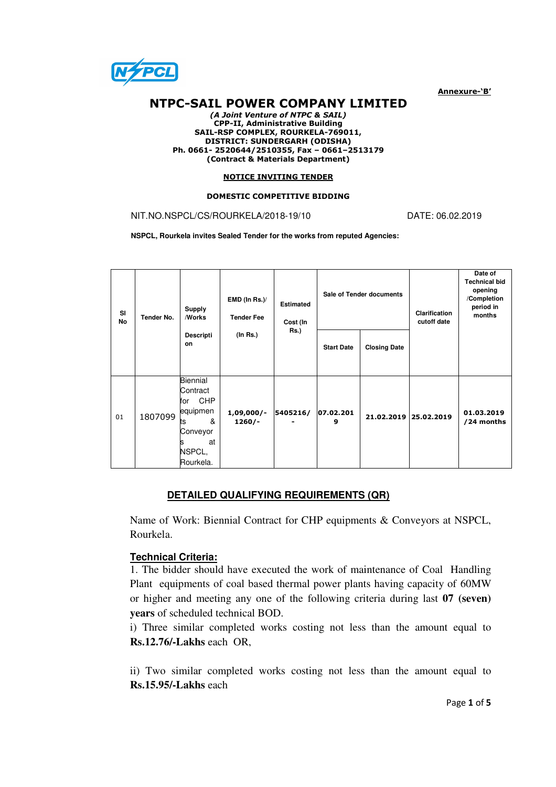

Annexure-'B'

# NTPC-SAIL POWER COMPANY LIMITED

(A Joint Venture of NTPC & SAIL) CPP-II, Administrative Building SAIL-RSP COMPLEX, ROURKELA-769011, DISTRICT: SUNDERGARH (ODISHA) Ph. 0661- 2520644/2510355, Fax – 0661–2513179 (Contract & Materials Department)

#### NOTICE INVITING TENDER

#### DOMESTIC COMPETITIVE BIDDING

## NIT.NO.NSPCL/CS/ROURKELA/2018-19/10 DATE: 06.02.2019

**NSPCL, Rourkela invites Sealed Tender for the works from reputed Agencies:** 

| SI<br>No | Tender No. | <b>Supply</b><br><b>Works</b><br><b>Descripti</b><br>on                                                   | EMD (In Rs.)/<br><b>Tender Fee</b><br>(In Rs.) | <b>Estimated</b><br>Cost (In<br><b>Rs.)</b> | Sale of Tender documents |                     | <b>Clarification</b><br>cutoff date | Date of<br><b>Technical bid</b><br>opening<br>/Completion<br>period in<br>months |
|----------|------------|-----------------------------------------------------------------------------------------------------------|------------------------------------------------|---------------------------------------------|--------------------------|---------------------|-------------------------------------|----------------------------------------------------------------------------------|
|          |            |                                                                                                           |                                                |                                             | <b>Start Date</b>        | <b>Closing Date</b> |                                     |                                                                                  |
| 01       | 1807099    | Biennial<br>Contract<br><b>CHP</b><br>for<br>equipmen<br>&<br>ts<br>Conveyor<br>at<br>NSPCL,<br>Rourkela. | $1,09,000/-$<br>$1260/-$                       | 5405216/                                    | 07.02.201<br>9           | 21.02.2019          | 25.02.2019                          | 01.03.2019<br>/24 months                                                         |

# **DETAILED QUALIFYING REQUIREMENTS (QR)**

Name of Work: Biennial Contract for CHP equipments & Conveyors at NSPCL, Rourkela.

# **Technical Criteria:**

1. The bidder should have executed the work of maintenance of Coal Handling Plant equipments of coal based thermal power plants having capacity of 60MW or higher and meeting any one of the following criteria during last **07 (seven) years** of scheduled technical BOD.

i) Three similar completed works costing not less than the amount equal to **Rs.12.76/-Lakhs** each OR,

ii) Two similar completed works costing not less than the amount equal to **Rs.15.95/-Lakhs** each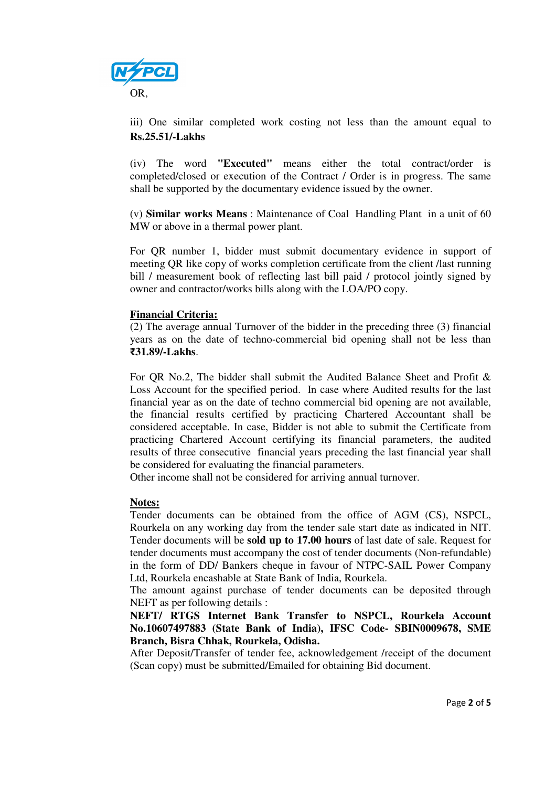

iii) One similar completed work costing not less than the amount equal to **Rs.25.51/-Lakhs**

(iv) The word **"Executed"** means either the total contract/order is completed/closed or execution of the Contract / Order is in progress. The same shall be supported by the documentary evidence issued by the owner.

(v) **Similar works Means** : Maintenance of Coal Handling Plant in a unit of 60 MW or above in a thermal power plant.

For QR number 1, bidder must submit documentary evidence in support of meeting QR like copy of works completion certificate from the client /last running bill / measurement book of reflecting last bill paid / protocol jointly signed by owner and contractor/works bills along with the LOA/PO copy.

# **Financial Criteria:**

(2) The average annual Turnover of the bidder in the preceding three (3) financial years as on the date of techno-commercial bid opening shall not be less than ₹**31.89/-Lakhs**.

For QR No.2, The bidder shall submit the Audited Balance Sheet and Profit & Loss Account for the specified period. In case where Audited results for the last financial year as on the date of techno commercial bid opening are not available, the financial results certified by practicing Chartered Accountant shall be considered acceptable. In case, Bidder is not able to submit the Certificate from practicing Chartered Account certifying its financial parameters, the audited results of three consecutive financial years preceding the last financial year shall be considered for evaluating the financial parameters.

Other income shall not be considered for arriving annual turnover.

# **Notes:**

Tender documents can be obtained from the office of AGM (CS), NSPCL, Rourkela on any working day from the tender sale start date as indicated in NIT. Tender documents will be **sold up to 17.00 hours** of last date of sale. Request for tender documents must accompany the cost of tender documents (Non-refundable) in the form of DD/ Bankers cheque in favour of NTPC-SAIL Power Company Ltd, Rourkela encashable at State Bank of India, Rourkela.

The amount against purchase of tender documents can be deposited through NEFT as per following details :

**NEFT/ RTGS Internet Bank Transfer to NSPCL, Rourkela Account No.10607497883 (State Bank of India), IFSC Code- SBIN0009678, SME Branch, Bisra Chhak, Rourkela, Odisha.** 

After Deposit/Transfer of tender fee, acknowledgement /receipt of the document (Scan copy) must be submitted/Emailed for obtaining Bid document.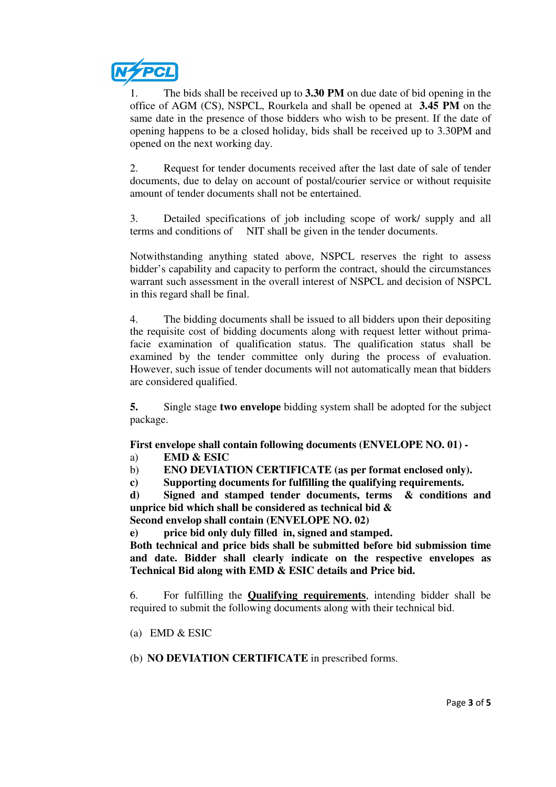

1. The bids shall be received up to **3.30 PM** on due date of bid opening in the office of AGM (CS), NSPCL, Rourkela and shall be opened at **3.45 PM** on the same date in the presence of those bidders who wish to be present. If the date of opening happens to be a closed holiday, bids shall be received up to 3.30PM and opened on the next working day.

2. Request for tender documents received after the last date of sale of tender documents, due to delay on account of postal/courier service or without requisite amount of tender documents shall not be entertained.

3. Detailed specifications of job including scope of work/ supply and all terms and conditions of NIT shall be given in the tender documents.

Notwithstanding anything stated above, NSPCL reserves the right to assess bidder's capability and capacity to perform the contract, should the circumstances warrant such assessment in the overall interest of NSPCL and decision of NSPCL in this regard shall be final.

4. The bidding documents shall be issued to all bidders upon their depositing the requisite cost of bidding documents along with request letter without primafacie examination of qualification status. The qualification status shall be examined by the tender committee only during the process of evaluation. However, such issue of tender documents will not automatically mean that bidders are considered qualified.

**5.** Single stage **two envelope** bidding system shall be adopted for the subject package.

**First envelope shall contain following documents (ENVELOPE NO. 01) -** 

- a) **EMD & ESIC**
- b) **ENO DEVIATION CERTIFICATE (as per format enclosed only).**
- **c) Supporting documents for fulfilling the qualifying requirements.**

**d) Signed and stamped tender documents, terms & conditions and unprice bid which shall be considered as technical bid & Second envelop shall contain (ENVELOPE NO. 02)** 

**e) price bid only duly filled in, signed and stamped.** 

**Both technical and price bids shall be submitted before bid submission time and date. Bidder shall clearly indicate on the respective envelopes as Technical Bid along with EMD & ESIC details and Price bid.** 

6. For fulfilling the **Qualifying requirements**, intending bidder shall be required to submit the following documents along with their technical bid.

- (a) EMD & ESIC
- (b) **NO DEVIATION CERTIFICATE** in prescribed forms.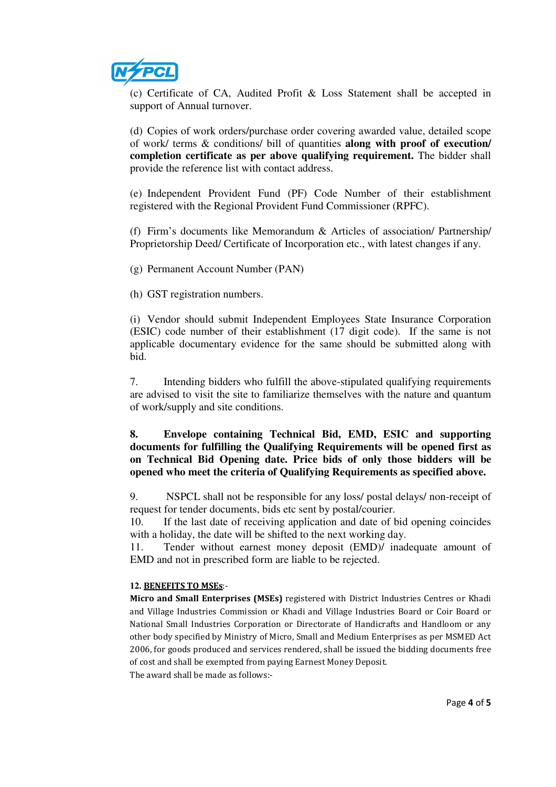

(c) Certificate of CA, Audited Profit & Loss Statement shall be accepted in support of Annual turnover.

(d) Copies of work orders/purchase order covering awarded value, detailed scope of work/ terms & conditions/ bill of quantities **along with proof of execution/ completion certificate as per above qualifying requirement.** The bidder shall provide the reference list with contact address.

(e) Independent Provident Fund (PF) Code Number of their establishment registered with the Regional Provident Fund Commissioner (RPFC).

(f) Firm's documents like Memorandum & Articles of association/ Partnership/ Proprietorship Deed/ Certificate of Incorporation etc., with latest changes if any.

(g) Permanent Account Number (PAN)

(h) GST registration numbers.

(i) Vendor should submit Independent Employees State Insurance Corporation (ESIC) code number of their establishment (17 digit code). If the same is not applicable documentary evidence for the same should be submitted along with bid.

7. Intending bidders who fulfill the above-stipulated qualifying requirements are advised to visit the site to familiarize themselves with the nature and quantum of work/supply and site conditions.

# **8. Envelope containing Technical Bid, EMD, ESIC and supporting documents for fulfilling the Qualifying Requirements will be opened first as on Technical Bid Opening date. Price bids of only those bidders will be opened who meet the criteria of Qualifying Requirements as specified above.**

9. NSPCL shall not be responsible for any loss/ postal delays/ non-receipt of request for tender documents, bids etc sent by postal/courier.

10. If the last date of receiving application and date of bid opening coincides with a holiday, the date will be shifted to the next working day.

11. Tender without earnest money deposit (EMD)/ inadequate amount of EMD and not in prescribed form are liable to be rejected.

### **12.** BENEFITS TO MSEs:-

Micro and Small Enterprises (MSEs) registered with District Industries Centres or Khadi and Village Industries Commission or Khadi and Village Industries Board or Coir Board or National Small Industries Corporation or Directorate of Handicrafts and Handloom or any other body specified by Ministry of Micro, Small and Medium Enterprises as per MSMED Act 2006, for goods produced and services rendered, shall be issued the bidding documents free of cost and shall be exempted from paying Earnest Money Deposit.

The award shall be made as follows:-